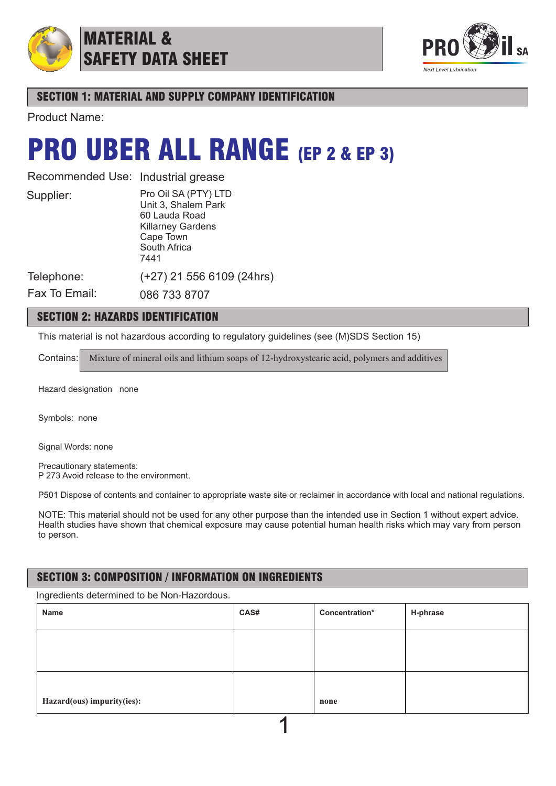

## MATERIAL & SAFETY DATA SHEET



## SECTION 1: MATERIAL AND SUPPLY COMPANY IDENTIFICATION

Product Name:

## PRO UBER ALL RANGE (EP 2 & EP 3)

Recommended Use: Industrial grease

Supplier:

Pro Oil SA (PTY) LTD Unit 3, Shalem Park 60 Lauda Road Killarney Gardens Cape Town South Africa 7441

(+27) 21 556 6109 (24hrs)

Telephone:

Fax To Email:

086 733 8707

## SECTION 2: HAZARDS IDENTIFICATION

This material is not hazardous according to regulatory guidelines (see (M)SDS Section 15)

Contains: Mixture of mineral oils and lithium soaps of 12-hydroxystearic acid, polymers and additives

Hazard designation none

Symbols: none

Signal Words: none

Precautionary statements: P 273 Avoid release to the environment.

P501 Dispose of contents and container to appropriate waste site or reclaimer in accordance with local and national regulations.

NOTE: This material should not be used for any other purpose than the intended use in Section 1 without expert advice. Health studies have shown that chemical exposure may cause potential human health risks which may vary from person to person.

## SECTION 3: COMPOSITION / INFORMATION ON INGREDIENTS

Ingredients determined to be Non-Hazordous.

| Name                       | CAS# | Concentration* | H-phrase |
|----------------------------|------|----------------|----------|
|                            |      |                |          |
|                            |      |                |          |
|                            |      |                |          |
| Hazard(ous) impurity(ies): |      | none           |          |
|                            |      |                |          |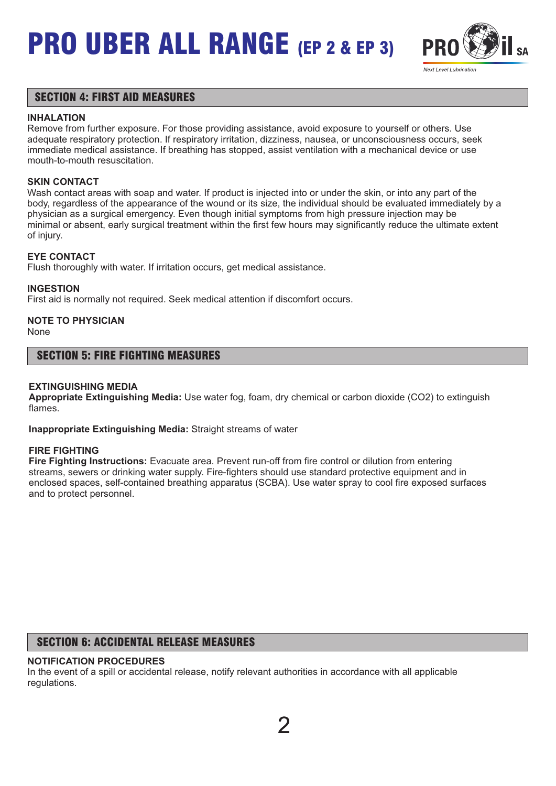

### SECTION 4: FIRST AID MEASURES

#### **INHALATION**

Remove from further exposure. For those providing assistance, avoid exposure to yourself or others. Use adequate respiratory protection. If respiratory irritation, dizziness, nausea, or unconsciousness occurs, seek immediate medical assistance. If breathing has stopped, assist ventilation with a mechanical device or use mouth-to-mouth resuscitation.

#### **SKIN CONTACT**

Wash contact areas with soap and water. If product is injected into or under the skin, or into any part of the body, regardless of the appearance of the wound or its size, the individual should be evaluated immediately by a physician as a surgical emergency. Even though initial symptoms from high pressure injection may be minimal or absent, early surgical treatment within the first few hours may significantly reduce the ultimate extent of injury.

#### **EYE CONTACT**

Flush thoroughly with water. If irritation occurs, get medical assistance.

#### **INGESTION**

First aid is normally not required. Seek medical attention if discomfort occurs.

## **NOTE TO PHYSICIAN**

None

#### SECTION 5: FIRE FIGHTING MEASURES

#### **EXTINGUISHING MEDIA**

**Appropriate Extinguishing Media:** Use water fog, foam, dry chemical or carbon dioxide (CO2) to extinguish flames.

**Inappropriate Extinguishing Media:** Straight streams of water

#### **FIRE FIGHTING**

**Fire Fighting Instructions:** Evacuate area. Prevent run-off from fire control or dilution from entering streams, sewers or drinking water supply. Fire-fighters should use standard protective equipment and in enclosed spaces, self-contained breathing apparatus (SCBA). Use water spray to cool fire exposed surfaces and to protect personnel.

### SECTION 6: ACCIDENTAL RELEASE MEASURES

#### **NOTIFICATION PROCEDURES**

In the event of a spill or accidental release, notify relevant authorities in accordance with all applicable regulations.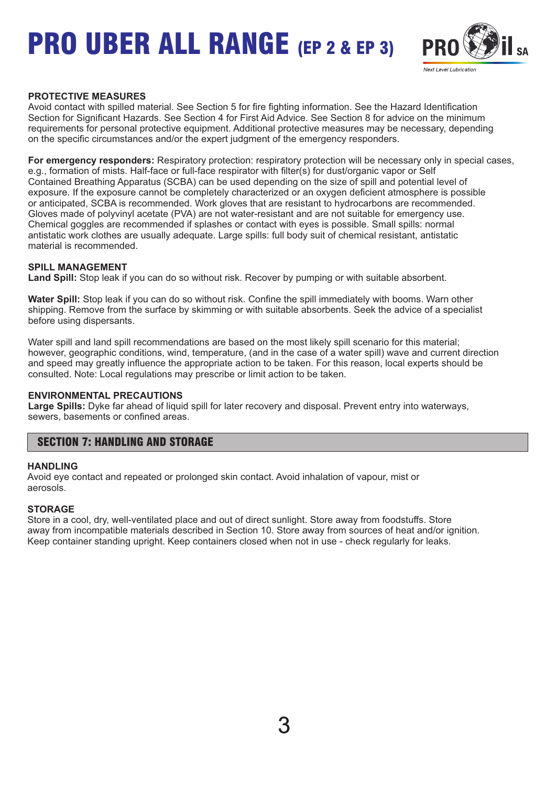

#### **PROTECTIVE MEASURES**

Avoid contact with spilled material. See Section 5 for fire fighting information. See the Hazard Identification Section for Significant Hazards. See Section 4 for First Aid Advice. See Section 8 for advice on the minimum requirements for personal protective equipment. Additional protective measures may be necessary, depending on the specific circumstances and/or the expert judgment of the emergency responders.

**For emergency responders:** Respiratory protection: respiratory protection will be necessary only in special cases, e.g., formation of mists. Half-face or full-face respirator with filter(s) for dust/organic vapor or Self Contained Breathing Apparatus (SCBA) can be used depending on the size of spill and potential level of exposure. If the exposure cannot be completely characterized or an oxygen deficient atmosphere is possible or anticipated, SCBA is recommended. Work gloves that are resistant to hydrocarbons are recommended. Gloves made of polyvinyl acetate (PVA) are not water-resistant and are not suitable for emergency use. Chemical goggles are recommended if splashes or contact with eyes is possible. Small spills: normal antistatic work clothes are usually adequate. Large spills: full body suit of chemical resistant, antistatic material is recommended.

#### **SPILL MANAGEMENT**

**Land Spill:** Stop leak if you can do so without risk. Recover by pumping or with suitable absorbent.

**Water Spill:** Stop leak if you can do so without risk. Confine the spill immediately with booms. Warn other shipping. Remove from the surface by skimming or with suitable absorbents. Seek the advice of a specialist before using dispersants.

Water spill and land spill recommendations are based on the most likely spill scenario for this material; however, geographic conditions, wind, temperature, (and in the case of a water spill) wave and current direction and speed may greatly influence the appropriate action to be taken. For this reason, local experts should be consulted. Note: Local regulations may prescribe or limit action to be taken.

#### **ENVIRONMENTAL PRECAUTIONS**

**Large Spills:** Dyke far ahead of liquid spill for later recovery and disposal. Prevent entry into waterways, sewers, basements or confined areas.

### SECTION 7: HANDLING AND STORAGE

#### **HANDLING**

Avoid eye contact and repeated or prolonged skin contact. Avoid inhalation of vapour, mist or aerosols.

#### **STORAGE**

Store in a cool, dry, well-ventilated place and out of direct sunlight. Store away from foodstuffs. Store away from incompatible materials described in Section 10. Store away from sources of heat and/or ignition. Keep container standing upright. Keep containers closed when not in use - check regularly for leaks.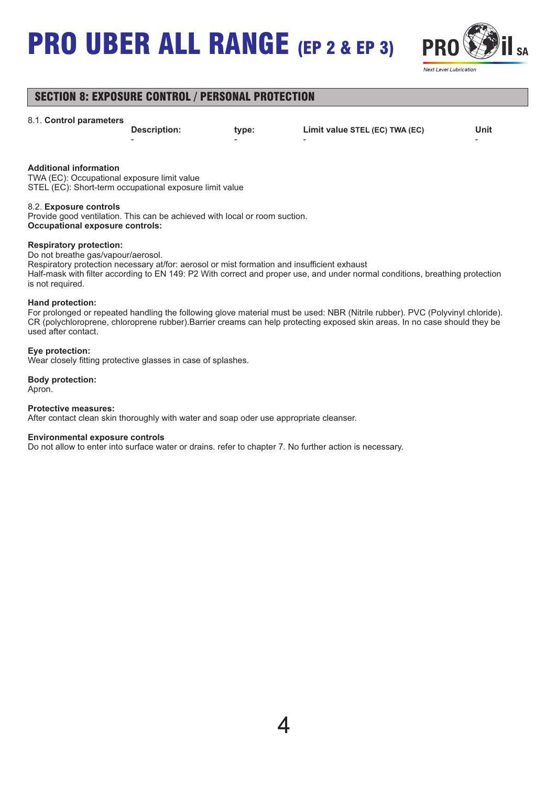

## SECTION 8: EXPOSURE CONTROL / PERSONAL PROTECTION

#### 8.1. **Control parameters**

- - - -

**Description: type: Limit value STEL (EC) TWA (EC) Unit**

#### **Additional information**

TWA (EC): Occupational exposure limit value STEL (EC): Short-term occupational exposure limit value

#### 8.2. **Exposure controls**

Provide good ventilation. This can be achieved with local or room suction. **Occupational exposure controls:**

#### **Respiratory protection:**

Do not breathe gas/vapour/aerosol.

Respiratory protection necessary at/for: aerosol or mist formation and insufficient exhaust Half-mask with filter according to EN 149: P2 With correct and proper use, and under normal conditions, breathing protection is not required.

#### **Hand protection:**

For prolonged or repeated handling the following glove material must be used: NBR (Nitrile rubber). PVC (Polyvinyl chloride). CR (polychloroprene, chloroprene rubber).Barrier creams can help protecting exposed skin areas. In no case should they be used after contact.

#### **Eye protection:**

Wear closely fitting protective glasses in case of splashes.

#### **Body protection:** Apron.

#### **Protective measures:**

After contact clean skin thoroughly with water and soap oder use appropriate cleanser.

#### **Environmental exposure controls**

Do not allow to enter into surface water or drains. refer to chapter 7. No further action is necessary.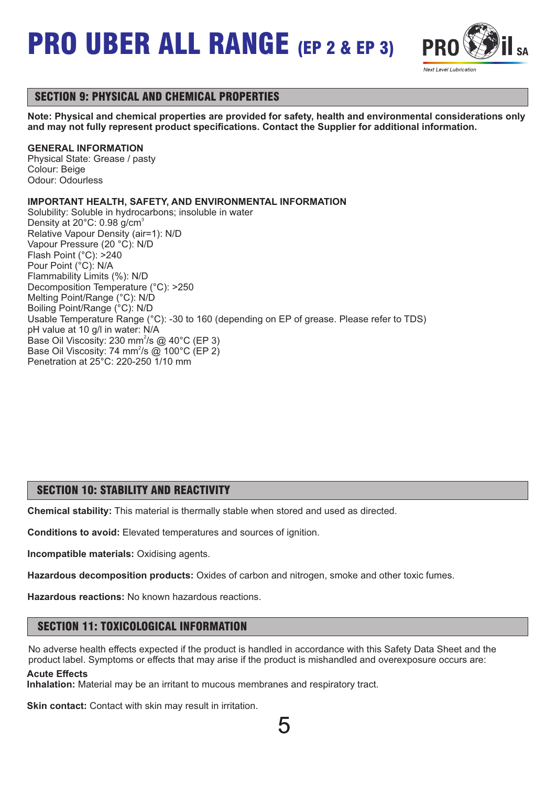



## SECTION 9: PHYSICAL AND CHEMICAL PROPERTIES

**Note: Physical and chemical properties are provided for safety, health and environmental considerations only and may not fully represent product specifications. Contact the Supplier for additional information.**

#### **GENERAL INFORMATION**

Physical State: Grease / pasty Colour: Beige Odour: Odourless

#### **IMPORTANT HEALTH, SAFETY, AND ENVIRONMENTAL INFORMATION**

Solubility: Soluble in hydrocarbons; insoluble in water Density at  $20^{\circ}$ C: 0.98 g/cm<sup>3</sup> Relative Vapour Density (air=1): N/D Vapour Pressure (20 °C): N/D Flash Point (°C): >240 Pour Point (°C): N/A Flammability Limits (%): N/D Decomposition Temperature (°C): >250 Melting Point/Range (°C): N/D Boiling Point/Range (°C): N/D Usable Temperature Range (°C): -30 to 160 (depending on EP of grease. Please refer to TDS) pH value at 10 g/l in water: N/A Base Oil Viscosity: 230 mm<sup>2</sup>/s @ 40 $^{\circ}$ C (EP 3) Base Oil Viscosity: 74 mm<sup>2</sup>/s @ 100°C (EP 2) Penetration at 25°C: 220-250 1/10 mm

#### SECTION 10: STABILITY AND REACTIVITY

**Chemical stability:** This material is thermally stable when stored and used as directed.

**Conditions to avoid:** Elevated temperatures and sources of ignition.

**Incompatible materials:** Oxidising agents.

**Hazardous decomposition products:** Oxides of carbon and nitrogen, smoke and other toxic fumes.

**Hazardous reactions:** No known hazardous reactions.

#### SECTION 11: TOXICOLOGICAL INFORMATION

No adverse health effects expected if the product is handled in accordance with this Safety Data Sheet and the product label. Symptoms or effects that may arise if the product is mishandled and overexposure occurs are: **Acute Effects**

**Inhalation:** Material may be an irritant to mucous membranes and respiratory tract.

**Skin contact:** Contact with skin may result in irritation.

5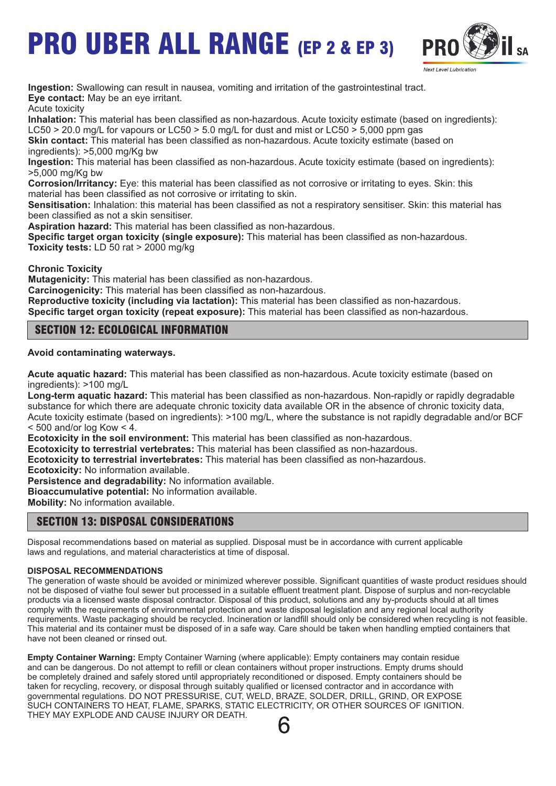

**Ingestion:** Swallowing can result in nausea, vomiting and irritation of the gastrointestinal tract. **Eye contact:** May be an eye irritant.

Acute toxicity

**Inhalation:** This material has been classified as non-hazardous. Acute toxicity estimate (based on ingredients): LC50  $>$  20.0 mg/L for vapours or LC50  $>$  5.0 mg/L for dust and mist or LC50  $>$  5,000 ppm gas

**Skin contact:** This material has been classified as non-hazardous. Acute toxicity estimate (based on ingredients): >5,000 mg/Kg bw

**Ingestion:** This material has been classified as non-hazardous. Acute toxicity estimate (based on ingredients): >5,000 mg/Kg bw

**Corrosion/Irritancy:** Eye: this material has been classified as not corrosive or irritating to eyes. Skin: this material has been classified as not corrosive or irritating to skin.

**Sensitisation:** Inhalation: this material has been classified as not a respiratory sensitiser. Skin: this material has been classified as not a skin sensitiser.

**Aspiration hazard:** This material has been classified as non-hazardous.

**Specific target organ toxicity (single exposure):** This material has been classified as non-hazardous. **Toxicity tests:** LD 50 rat > 2000 mg/kg

**Chronic Toxicity**

**Mutagenicity:** This material has been classified as non-hazardous.

**Carcinogenicity:** This material has been classified as non-hazardous.

**Reproductive toxicity (including via lactation):** This material has been classified as non-hazardous. **Specific target organ toxicity (repeat exposure):** This material has been classified as non-hazardous.

## SECTION 12: ECOLOGICAL INFORMATION

**Avoid contaminating waterways.**

**Acute aquatic hazard:** This material has been classified as non-hazardous. Acute toxicity estimate (based on ingredients): >100 mg/L

**Long-term aquatic hazard:** This material has been classified as non-hazardous. Non-rapidly or rapidly degradable substance for which there are adequate chronic toxicity data available OR in the absence of chronic toxicity data, Acute toxicity estimate (based on ingredients): >100 mg/L, where the substance is not rapidly degradable and/or BCF  $<$  500 and/or log Kow  $<$  4.

**Ecotoxicity in the soil environment:** This material has been classified as non-hazardous.

**Ecotoxicity to terrestrial vertebrates:** This material has been classified as non-hazardous.

**Ecotoxicity to terrestrial invertebrates:** This material has been classified as non-hazardous.

**Ecotoxicity:** No information available.

**Persistence and degradability:** No information available.

**Bioaccumulative potential:** No information available.

**Mobility:** No information available.

### SECTION 13: DISPOSAL CONSIDERATIONS

Disposal recommendations based on material as supplied. Disposal must be in accordance with current applicable laws and regulations, and material characteristics at time of disposal.

#### **DISPOSAL RECOMMENDATIONS**

The generation of waste should be avoided or minimized wherever possible. Significant quantities of waste product residues should not be disposed of viathe foul sewer but processed in a suitable effluent treatment plant. Dispose of surplus and non-recyclable products via a licensed waste disposal contractor. Disposal of this product, solutions and any by-products should at all times comply with the requirements of environmental protection and waste disposal legislation and any regional local authority requirements. Waste packaging should be recycled. Incineration or landfill should only be considered when recycling is not feasible. This material and its container must be disposed of in a safe way. Care should be taken when handling emptied containers that have not been cleaned or rinsed out.

**Empty Container Warning:** Empty Container Warning (where applicable): Empty containers may contain residue and can be dangerous. Do not attempt to refill or clean containers without proper instructions. Empty drums should be completely drained and safely stored until appropriately reconditioned or disposed. Empty containers should be taken for recycling, recovery, or disposal through suitably qualified or licensed contractor and in accordance with governmental regulations. DO NOT PRESSURISE, CUT, WELD, BRAZE, SOLDER, DRILL, GRIND, OR EXPOSE SUCH CONTAINERS TO HEAT, FLAME, SPARKS, STATIC ELECTRICITY, OR OTHER SOURCES OF IGNITION. THEY MAY EXPLODE AND CAUSE INJURY OR DEATH.